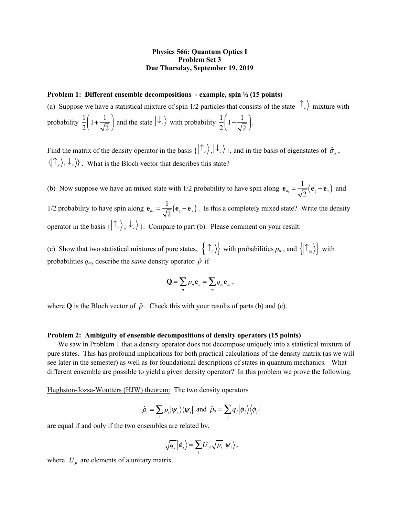## **Physics 566: Quantum Optics I Problem Set 3 Due Thursday, September 19, 2019**

## **Problem 1: Different ensemble decompositions - example, spin ½ (15 points)**

(a) Suppose we have a statistical mixture of spin 1/2 particles that consists of the state  $\int_{z}^{\infty}$  mixture with probability  $\frac{1}{2} \left( 1 + \frac{1}{\sqrt{2}} \right)$  and the state  $|\psi_z\rangle$  with probability  $\frac{1}{2} \left( 1 - \frac{1}{\sqrt{2}} \right)$ . 2  $1 + \frac{1}{\sqrt{2}}$ 2  $\sqrt{}$  $\left(1+\frac{1}{\sqrt{2}}\right)$  and the state  $|\psi_z\rangle$  with probability  $\frac{1}{2}$ 2  $1-\frac{1}{\sqrt{2}}$ 2  $\sqrt{}$  $\left(1-\frac{1}{\sqrt{2}}\right)$ 

Find the matrix of the density operator in the basis  $\{\ket{\uparrow_z}, \ket{\downarrow_z}\}$ , and in the basis of eigenstates of  $\hat{\sigma}_x$ ,  $\{ |T_x\rangle, |\downarrow_x\rangle \}$ . What is the Bloch vector that describes this state?

(b) Now suppose we have an mixed state with 1/2 probability to have spin along  $\mathbf{e}_{n_1} = \frac{1}{\sqrt{2}} (\mathbf{e}_z + \mathbf{e}_x)$  and 1/2 probability to have spin along  $\mathbf{e}_{n_2} = \frac{1}{\sqrt{2}} (\mathbf{e}_z - \mathbf{e}_x)$ . Is this a completely mixed state? Write the density operator in the basis  $\{\ket{\tau_z}, \ket{\downarrow_z}\}$ . Compare to part (b). Please comment on your result.

(c) Show that two statistical mixtures of pure states,  $\{|\mathcal{T}_n\rangle\}$  with probabilities  $p_n$ , and  $\{|\mathcal{T}_m\rangle\}$  with probabilities  $q_m$ , describe the *same* density operator  $\hat{\rho}$  if

$$
\mathbf{Q} = \sum_n p_n \mathbf{e}_n = \sum_m q_m \mathbf{e}_m ,
$$

where **Q** is the Bloch vector of  $\hat{\rho}$ . Check this with your results of parts (b) and (c).

## **Problem 2: Ambiguity of ensemble decompositions of density operators (15 points)**

We saw in Problem 1 that a density operator does not decompose uniquely into a statistical mixture of pure states. This has profound implications for both practical calculations of the density matrix (as we will see later in the semester) as well as for foundational descriptions of states in quantum mechanics. What different ensemble are possible to yield a given density operator? In this problem we prove the following.

Hughston-Jozsa-Wootters (HJW) theorem: The two density operators

$$
\hat{\rho}_1 = \sum_i p_i |\psi_i\rangle\langle\psi_i|
$$
 and  $\hat{\rho}_2 = \sum_j q_j |\phi_j\rangle\langle\phi_j|$ 

are equal if and only if the two ensembles are related by,

$$
\sqrt{q_j} |\phi_j\rangle = \sum_i U_{ji} \sqrt{p_i} |\psi_i\rangle,
$$

where  $U_{ji}$  are elements of a unitary matrix.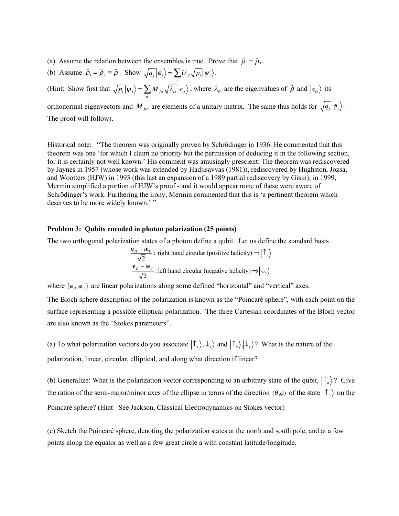- (a) Assume the relation between the ensembles is true. Prove that  $\hat{\rho}_1 = \hat{\rho}_2$ .
- (b) Assume  $\hat{\rho}_1 = \hat{\rho}_2 \equiv \hat{\rho}$ . Show  $\sqrt{q_j} |\phi_j\rangle = \sum U_{ji} \sqrt{p_i} |\psi_i\rangle$ . *i*

(Hint: Show first that  $\sqrt{p_i|y_i} = \sum M_{i\alpha} |\lambda_{\alpha}| e_{\alpha}$ ), where  $\lambda_{\alpha}$  are the eigenvalues of  $\hat{\rho}$  and  $|e_{\alpha}\rangle$  its orthonormal eigenvectors and  $M_{j\alpha}$  are elements of a unitary matrix. The same thus holds for  $\sqrt{q_j} |\phi_j\rangle$ . The proof will follow).  $\langle \overline{p_i} | \psi_i \rangle = \sum_{\alpha} M_{i\alpha} \sqrt{\lambda_{\alpha}} | e_{\alpha} \rangle$ , where  $\lambda_{\alpha}$  are the eigenvalues of  $\hat{\rho}$  and  $| e_{\alpha} \rangle$ 

Historical note: "The theorem was originally proven by Schrödinger in 1936. He commented that this theorem was one 'for which I claim no priority but the permission of deducing it in the following section, for it is certainly not well known.' His comment was amusingly prescient: The theorem was rediscovered by Jaynes in 1957 (whose work was extended by Hadjisavvas (1981)), rediscovered by Hughston, Jozsa, and Wootters (HJW) in 1993 (this last an expansion of a 1989 partial rediscovery by Gisin); in 1999, Mermin simplified a portion of HJW's proof - and it would appear none of these were aware of Schrödinger's work. Furthering the irony, Mermin commented that this is 'a pertinent theorem which deserves to be more widely known.'"

## **Problem 3: Qubits encoded in photon polarization (25 points)**

The two orthogonal polarization states of a photon define a qubit. Let us define the standard basis

$$
\frac{\mathbf{e}_H + i\mathbf{e}_V}{\sqrt{2}}
$$
: right hand circular (positive helicity)  $\Rightarrow |\uparrow_z\rangle$   

$$
\frac{\mathbf{e}_H - i\mathbf{e}_V}{\sqrt{2}}
$$
: left hand circular (negative helicity)  $\Rightarrow |\downarrow_z\rangle$ 

where  $(e_n, e_v)$  are linear polarizations along some defined "horizontal" and "vertical" axes.

The Bloch sphere description of the polarization is known as the "Poincaré sphere", with each point on the surface representing a possible elliptical polarization. The three Cartesian coordinates of the Bloch vector are also known as the "Stokes parameters".

(a) To what polarization vectors do you associate  $(\uparrow_x), \downarrow_x$  and  $(\uparrow_y), \downarrow_y$ ? What is the nature of the polarization, linear, circular, elliptical, and along what direction if linear?

(b) Generalize: What is the polarization vector corresponding to an arbitrary state of the qubit,  $|\uparrow_n\rangle$ ? Give the ration of the semi-major/minor axes of the ellipse in terms of the direction  $(\theta, \phi)$  of the state  $|\uparrow_n\rangle$  on the Poincaré sphere? (Hint: See Jackson, Classical Electrodynamics on Stokes vector)

(c) Sketch the Poincaré sphere, denoting the polarization states at the north and south pole, and at a few points along the equator as well as a few great circle a with constant latitude/longitude.